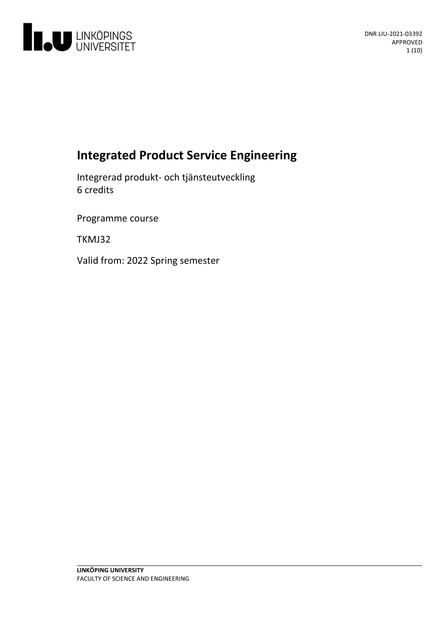

# **Integrated Product Service Engineering**

Integrerad produkt- och tjänsteutveckling 6 credits

Programme course

TKMJ32

Valid from: 2022 Spring semester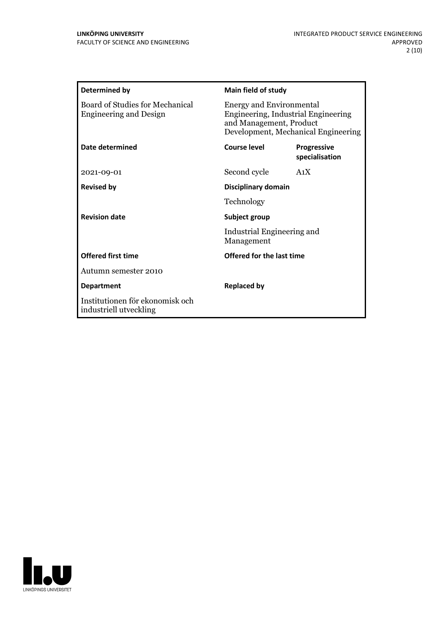| Determined by                                                    | <b>Main field of study</b>                                                                                                               |                                      |
|------------------------------------------------------------------|------------------------------------------------------------------------------------------------------------------------------------------|--------------------------------------|
| Board of Studies for Mechanical<br><b>Engineering and Design</b> | <b>Energy and Environmental</b><br>Engineering, Industrial Engineering<br>and Management, Product<br>Development, Mechanical Engineering |                                      |
| Date determined                                                  | Course level                                                                                                                             | <b>Progressive</b><br>specialisation |
| 2021-09-01                                                       | Second cycle                                                                                                                             | A <sub>1</sub> X                     |
| <b>Revised by</b>                                                | Disciplinary domain                                                                                                                      |                                      |
|                                                                  | Technology                                                                                                                               |                                      |
| <b>Revision date</b>                                             | Subject group<br>Industrial Engineering and<br>Management                                                                                |                                      |
|                                                                  |                                                                                                                                          |                                      |
| <b>Offered first time</b>                                        | Offered for the last time                                                                                                                |                                      |
| Autumn semester 2010                                             |                                                                                                                                          |                                      |
| <b>Department</b>                                                | <b>Replaced by</b>                                                                                                                       |                                      |
| Institutionen för ekonomisk och<br>industriell utveckling        |                                                                                                                                          |                                      |

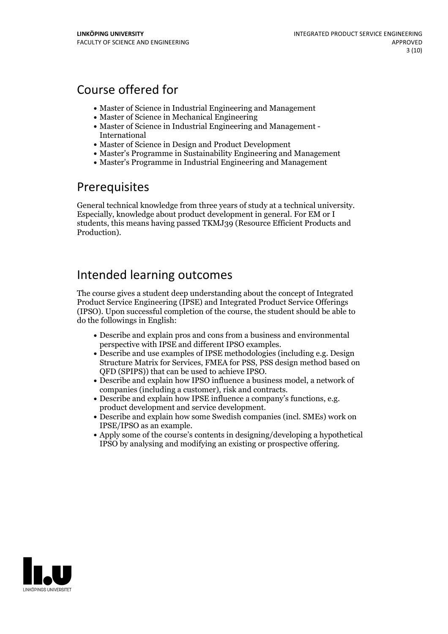# Course offered for

- Master of Science in Industrial Engineering and Management
- Master of Science in Mechanical Engineering
- Master of Science in Industrial Engineering and Management International
- Master of Science in Design and Product Development
- Master's Programme in Sustainability Engineering and Management
- Master's Programme in Industrial Engineering and Management

## Prerequisites

General technical knowledge from three years of study ata technical university. Especially, knowledge about product development in general. For EM or <sup>I</sup> students, this means having passed TKMJ39 (Resource Efficient Products and Production).

## Intended learning outcomes

The course gives a student deep understanding about the concept of Integrated Product Service Engineering (IPSE) and Integrated Product Service Offerings (IPSO). Upon successful completion of the course, the student should be able to do the followings in English:

- Describe and explain pros and cons from a business and environmental
- perspective with IPSE and different IPSO examples.<br>• Describe and use examples of IPSE methodologies (including e.g. Design Structure Matrix for Services, FMEA for PSS, PSS design method based on
- QFD (SPIPS)) that can be used to achieve IPSO.<br>• Describe and explain how IPSO influence a business model, a network of
- companies (including a customer), risk and contracts.<br>• Describe and explain how IPSE influence a company's functions, e.g.<br>• product development and service development.<br>• Describe and explain how some Swedish companies (
- IPSE/IPSO as an example.<br>• Apply some of the course's contents in designing/developing a hypothetical
- IPSO by analysing and modifying an existing or prospective offering.

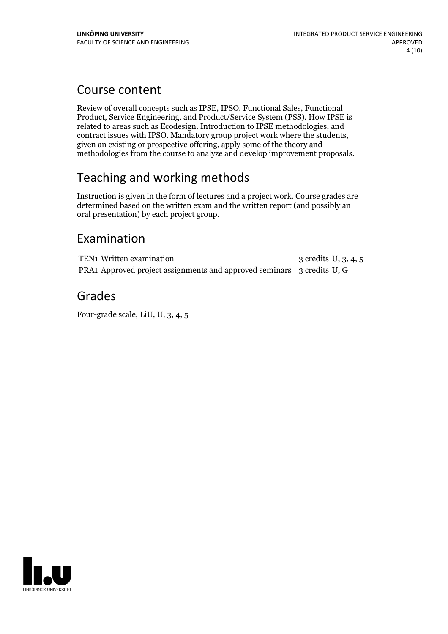## Course content

Review of overall concepts such as IPSE, IPSO, Functional Sales, Functional Product, Service Engineering, and Product/Service System (PSS). How IPSE is related to areas such as Ecodesign. Introduction to IPSE methodologies, and contract issues with IPSO. Mandatory group project work where the students, given an existing or prospective offering, apply some of the theory and methodologies from the course to analyze and develop improvement proposals.

# Teaching and working methods

Instruction is given in the form of lectures and a project work. Course grades are determined based on the written exam and the written report (and possibly an oral presentation) by each project group.

## Examination

TEN1 Written examination 3 credits U, 3, 4, 5 PRA1 Approved project assignments and approved seminars 3 credits U, G

## Grades

Four-grade scale, LiU, U, 3, 4, 5

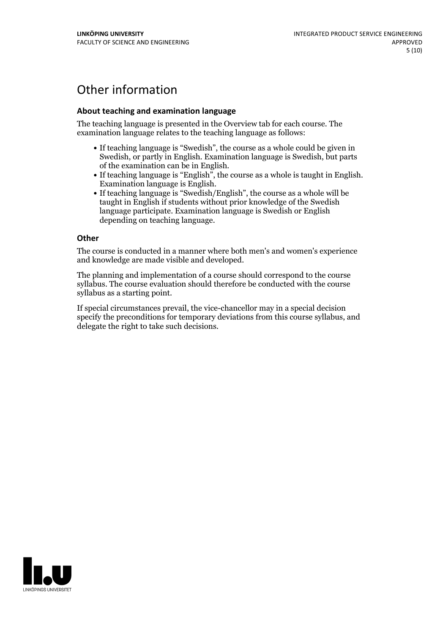# Other information

### **About teaching and examination language**

The teaching language is presented in the Overview tab for each course. The examination language relates to the teaching language as follows:

- If teaching language is "Swedish", the course as a whole could be given in Swedish, or partly in English. Examination language is Swedish, but parts
- of the examination can be in English. If teaching language is "English", the course as <sup>a</sup> whole is taught in English. Examination language is English. If teaching language is "Swedish/English", the course as <sup>a</sup> whole will be
- taught in English if students without prior knowledge of the Swedish language participate. Examination language is Swedish or English depending on teaching language.

#### **Other**

The course is conducted in a manner where both men's and women's experience and knowledge are made visible and developed.

The planning and implementation of a course should correspond to the course syllabus. The course evaluation should therefore be conducted with the course syllabus as a starting point.

If special circumstances prevail, the vice-chancellor may in a special decision specify the preconditions for temporary deviations from this course syllabus, and delegate the right to take such decisions.

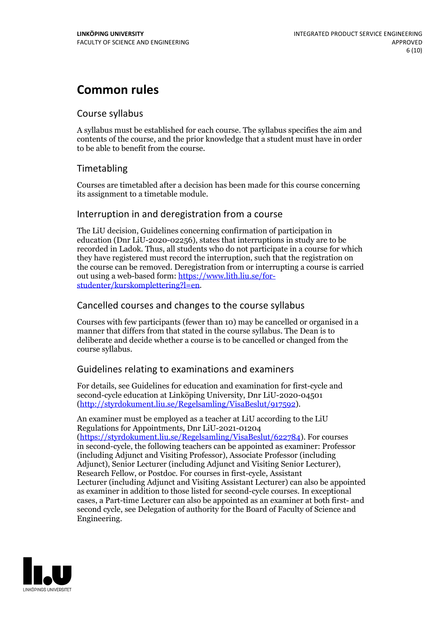# **Common rules**

## Course syllabus

A syllabus must be established for each course. The syllabus specifies the aim and contents of the course, and the prior knowledge that a student must have in order to be able to benefit from the course.

## Timetabling

Courses are timetabled after a decision has been made for this course concerning its assignment to a timetable module.

## Interruption in and deregistration from a course

The LiU decision, Guidelines concerning confirmation of participation in education (Dnr LiU-2020-02256), states that interruptions in study are to be recorded in Ladok. Thus, all students who do not participate in a course for which they have registered must record the interruption, such that the registration on the course can be removed. Deregistration from or interrupting a course is carried out using <sup>a</sup> web-based form: https://www.lith.liu.se/for- [studenter/kurskomplettering?l=en.](https://www.lith.liu.se/for-studenter/kurskomplettering?l=en)

## Cancelled courses and changes to the course syllabus

Courses with few participants (fewer than 10) may be cancelled or organised in a manner that differs from that stated in the course syllabus. The Dean is to deliberate and decide whether a course is to be cancelled or changed from the course syllabus.

## Guidelines relating to examinations and examiners

For details, see Guidelines for education and examination for first-cycle and second-cycle education at Linköping University, Dnr LiU-2020-04501 [\(http://styrdokument.liu.se/Regelsamling/VisaBeslut/917592\)](http://styrdokument.liu.se/Regelsamling/VisaBeslut/917592).

An examiner must be employed as a teacher at LiU according to the LiU Regulations for Appointments, Dnr LiU-2021-01204 [\(https://styrdokument.liu.se/Regelsamling/VisaBeslut/622784](https://styrdokument.liu.se/Regelsamling/VisaBeslut/622784)). For courses in second-cycle, the following teachers can be appointed as examiner: Professor (including Adjunct and Visiting Professor), Associate Professor (including Adjunct), Senior Lecturer (including Adjunct and Visiting Senior Lecturer), Research Fellow, or Postdoc. For courses in first-cycle, Assistant Lecturer (including Adjunct and Visiting Assistant Lecturer) can also be appointed as examiner in addition to those listed for second-cycle courses. In exceptional cases, a Part-time Lecturer can also be appointed as an examiner at both first- and second cycle, see Delegation of authority for the Board of Faculty of Science and Engineering.

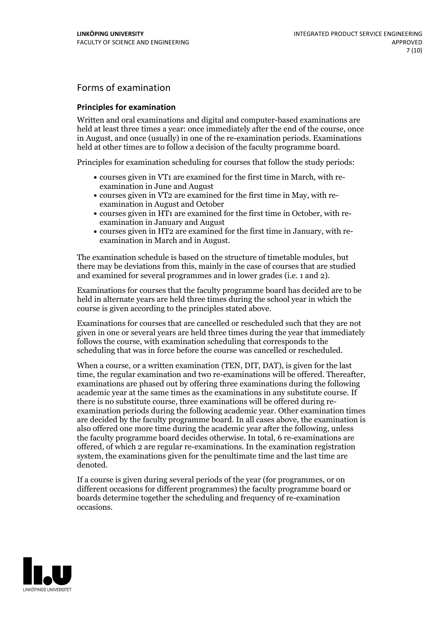## Forms of examination

#### **Principles for examination**

Written and oral examinations and digital and computer-based examinations are held at least three times a year: once immediately after the end of the course, once in August, and once (usually) in one of the re-examination periods. Examinations held at other times are to follow a decision of the faculty programme board.

Principles for examination scheduling for courses that follow the study periods:

- courses given in VT1 are examined for the first time in March, with re-examination in June and August
- courses given in VT2 are examined for the first time in May, with re-examination in August and October
- courses given in HT1 are examined for the first time in October, with re-examination in January and August
- courses given in HT2 are examined for the first time in January, with re-examination in March and in August.

The examination schedule is based on the structure of timetable modules, but there may be deviations from this, mainly in the case of courses that are studied and examined for several programmes and in lower grades (i.e. 1 and 2).

Examinations for courses that the faculty programme board has decided are to be held in alternate years are held three times during the school year in which the course is given according to the principles stated above.

Examinations for courses that are cancelled orrescheduled such that they are not given in one or several years are held three times during the year that immediately follows the course, with examination scheduling that corresponds to the scheduling that was in force before the course was cancelled or rescheduled.

When a course, or a written examination (TEN, DIT, DAT), is given for the last time, the regular examination and two re-examinations will be offered. Thereafter, examinations are phased out by offering three examinations during the following academic year at the same times as the examinations in any substitute course. If there is no substitute course, three examinations will be offered during re- examination periods during the following academic year. Other examination times are decided by the faculty programme board. In all cases above, the examination is also offered one more time during the academic year after the following, unless the faculty programme board decides otherwise. In total, 6 re-examinations are offered, of which 2 are regular re-examinations. In the examination registration system, the examinations given for the penultimate time and the last time are denoted.

If a course is given during several periods of the year (for programmes, or on different occasions for different programmes) the faculty programme board or boards determine together the scheduling and frequency of re-examination occasions.

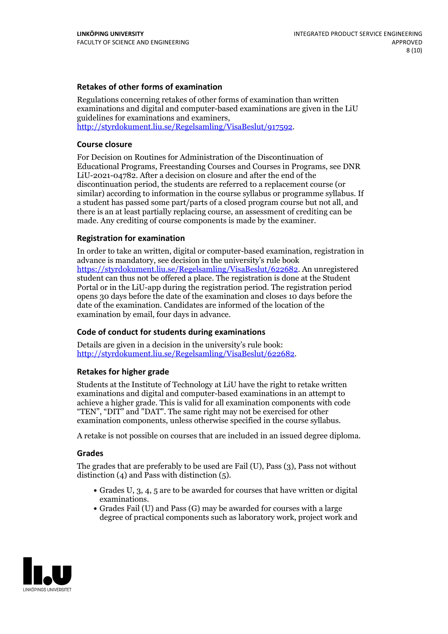### **Retakes of other forms of examination**

Regulations concerning retakes of other forms of examination than written examinations and digital and computer-based examinations are given in the LiU guidelines for examinations and examiners, [http://styrdokument.liu.se/Regelsamling/VisaBeslut/917592.](http://styrdokument.liu.se/Regelsamling/VisaBeslut/917592)

#### **Course closure**

For Decision on Routines for Administration of the Discontinuation of Educational Programs, Freestanding Courses and Courses in Programs, see DNR LiU-2021-04782. After a decision on closure and after the end of the discontinuation period, the students are referred to a replacement course (or similar) according to information in the course syllabus or programme syllabus. If a student has passed some part/parts of a closed program course but not all, and there is an at least partially replacing course, an assessment of crediting can be made. Any crediting of course components is made by the examiner.

### **Registration for examination**

In order to take an written, digital or computer-based examination, registration in advance is mandatory, see decision in the university's rule book [https://styrdokument.liu.se/Regelsamling/VisaBeslut/622682.](https://styrdokument.liu.se/Regelsamling/VisaBeslut/622682) An unregistered student can thus not be offered a place. The registration is done at the Student Portal or in the LiU-app during the registration period. The registration period opens 30 days before the date of the examination and closes 10 days before the date of the examination. Candidates are informed of the location of the examination by email, four days in advance.

### **Code of conduct for students during examinations**

Details are given in a decision in the university's rule book: <http://styrdokument.liu.se/Regelsamling/VisaBeslut/622682>.

#### **Retakes for higher grade**

Students at the Institute of Technology at LiU have the right to retake written examinations and digital and computer-based examinations in an attempt to achieve a higher grade. This is valid for all examination components with code "TEN", "DIT" and "DAT". The same right may not be exercised for other examination components, unless otherwise specified in the course syllabus.

A retake is not possible on courses that are included in an issued degree diploma.

#### **Grades**

The grades that are preferably to be used are Fail (U), Pass (3), Pass not without distinction  $(4)$  and Pass with distinction  $(5)$ .

- Grades U, 3, 4, 5 are to be awarded for courses that have written or digital examinations.<br>• Grades Fail (U) and Pass (G) may be awarded for courses with a large
- degree of practical components such as laboratory work, project work and

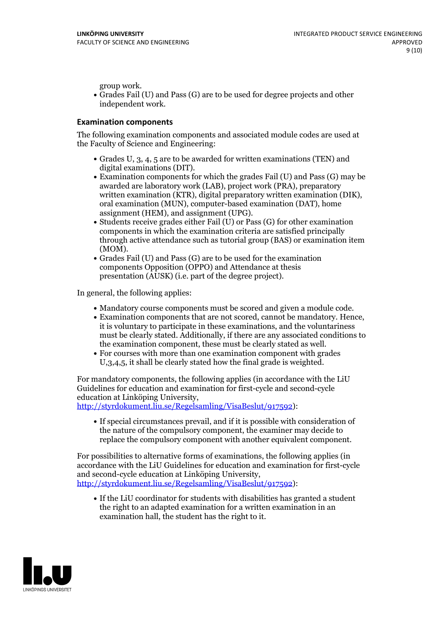group work.<br>• Grades Fail (U) and Pass (G) are to be used for degree projects and other independent work.

### **Examination components**

The following examination components and associated module codes are used at the Faculty of Science and Engineering:

- Grades U, 3, 4, 5 are to be awarded for written examinations (TEN) and
- digital examinations (DIT).<br>• Examination components for which the grades Fail (U) and Pass (G) may be awarded are laboratory work (LAB), project work (PRA), preparatory written examination (KTR), digital preparatory written examination (DIK), oral examination (MUN), computer-based examination (DAT), home
- assignment (HEM), and assignment (UPG).<br>• Students receive grades either Fail (U) or Pass (G) for other examination components in which the examination criteria are satisfied principally through active attendance such as tutorial group (BAS) or examination item
- (MOM).<br>• Grades Fail (U) and Pass (G) are to be used for the examination components Opposition (OPPO) and Attendance at thesis presentation (AUSK) (i.e. part of the degree project).

In general, the following applies:

- 
- Mandatory course components must be scored and given <sup>a</sup> module code. Examination components that are not scored, cannot be mandatory. Hence, it is voluntary to participate in these examinations, and the voluntariness must be clearly stated. Additionally, if there are any associated conditions to
- the examination component, these must be clearly stated as well.<br>• For courses with more than one examination component with grades U,3,4,5, it shall be clearly stated how the final grade is weighted.

For mandatory components, the following applies (in accordance with the LiU Guidelines for education and examination for first-cycle and second-cycle

[http://styrdokument.liu.se/Regelsamling/VisaBeslut/917592\)](http://styrdokument.liu.se/Regelsamling/VisaBeslut/917592):

If special circumstances prevail, and if it is possible with consideration of the nature of the compulsory component, the examiner may decide to replace the compulsory component with another equivalent component.

For possibilities to alternative forms of examinations, the following applies (in accordance with the LiU Guidelines for education and examination for first-cycle [http://styrdokument.liu.se/Regelsamling/VisaBeslut/917592\)](http://styrdokument.liu.se/Regelsamling/VisaBeslut/917592):

If the LiU coordinator for students with disabilities has granted a student the right to an adapted examination for a written examination in an examination hall, the student has the right to it.